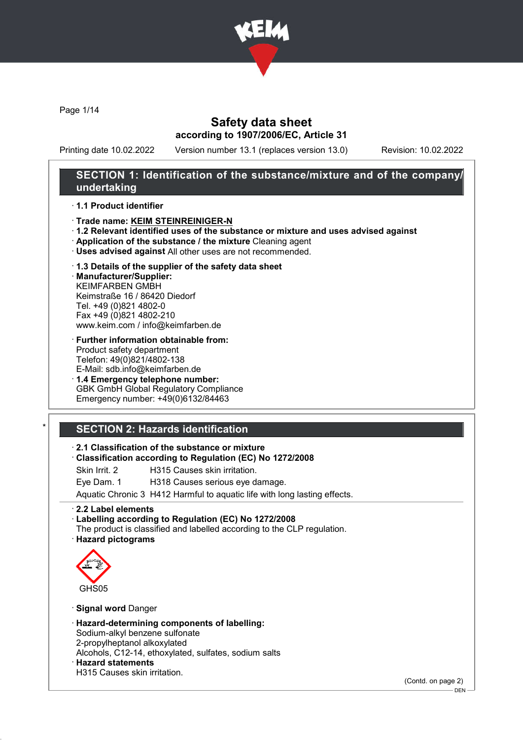

Page 1/14

### Safety data sheet according to 1907/2006/EC, Article 31

Printing date 10.02.2022 Version number 13.1 (replaces version 13.0) Revision: 10.02.2022

### SECTION 1: Identification of the substance/mixture and of the company/ undertaking

#### · 1.1 Product identifier

- · Trade name: KEIM STEINREINIGER-N
- · 1.2 Relevant identified uses of the substance or mixture and uses advised against
- · Application of the substance / the mixture Cleaning agent
- · Uses advised against All other uses are not recommended.

#### · 1.3 Details of the supplier of the safety data sheet

· Manufacturer/Supplier: KEIMFARBEN GMBH Keimstraße 16 / 86420 Diedorf Tel. +49 (0)821 4802-0 Fax +49 (0)821 4802-210 www.keim.com / info@keimfarben.de

- · Further information obtainable from: Product safety department Telefon: 49(0)821/4802-138 E-Mail: sdb.info@keimfarben.de
- · 1.4 Emergency telephone number: GBK GmbH Global Regulatory Compliance Emergency number: +49(0)6132/84463

### **SECTION 2: Hazards identification**

#### · 2.1 Classification of the substance or mixture

- · Classification according to Regulation (EC) No 1272/2008
- Skin Irrit. 2 **H315 Causes skin irritation.**
- Eye Dam. 1 H318 Causes serious eye damage.

Aquatic Chronic 3 H412 Harmful to aquatic life with long lasting effects.

#### · 2.2 Label elements

#### · Labelling according to Regulation (EC) No 1272/2008

The product is classified and labelled according to the CLP regulation. · Hazard pictograms



· Signal word Danger

· Hazard-determining components of labelling: Sodium-alkyl benzene sulfonate 2-propylheptanol alkoxylated Alcohols, C12-14, ethoxylated, sulfates, sodium salts · Hazard statements H315 Causes skin irritation.

(Contd. on page 2)

DEN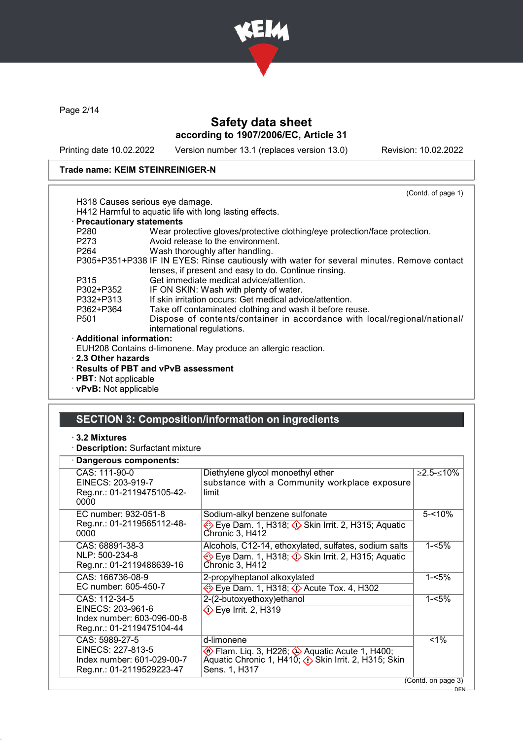

Page 2/14

### Safety data sheet according to 1907/2006/EC, Article 31

Printing date 10.02.2022 Version number 13.1 (replaces version 13.0) Revision: 10.02.2022

DEN

#### Trade name: KEIM STEINREINIGER-N

|                                 | (Contd. of page 1)                                                                         |
|---------------------------------|--------------------------------------------------------------------------------------------|
|                                 | H318 Causes serious eye damage.                                                            |
|                                 | H412 Harmful to aquatic life with long lasting effects.                                    |
| · Precautionary statements      |                                                                                            |
| P <sub>280</sub>                | Wear protective gloves/protective clothing/eye protection/face protection.                 |
| P273                            | Avoid release to the environment.                                                          |
| P264 and the P264 and the P264  | Wash thoroughly after handling.                                                            |
|                                 | P305+P351+P338 IF IN EYES: Rinse cautiously with water for several minutes. Remove contact |
|                                 | lenses, if present and easy to do. Continue rinsing.                                       |
| P315                            | Get immediate medical advice/attention.                                                    |
| P302+P352                       | IF ON SKIN: Wash with plenty of water.                                                     |
| P332+P313                       | If skin irritation occurs: Get medical advice/attention.                                   |
| P362+P364                       | Take off contaminated clothing and wash it before reuse.                                   |
| P <sub>501</sub>                | Dispose of contents/container in accordance with local/regional/national/                  |
|                                 | international regulations.                                                                 |
| $\cdot$ Additional information: |                                                                                            |
|                                 | EUH208 Contains d-limonene. May produce an allergic reaction.                              |
| $\cdot$ 2.3 Other hazards       |                                                                                            |
|                                 | $\cdot$ Results of PBT and vPvB assessment                                                 |
| $\cdot$ PBT: Not applicable     |                                                                                            |

· vPvB: Not applicable

### SECTION 3: Composition/information on ingredients

- · 3.2 Mixtures
- · Description: Surfactant mixture

#### Dangerous components: CAS: 111-90-0 EINECS: 203-919-7 Reg.nr.: 01-2119475105-42- 0000 Diethylene glycol monoethyl ether substance with a Community workplace exposure limit ≥2.5-≤10% EC number: 932-051-8 Reg.nr.: 01-2119565112-48-  $0000$ Sodium-alkyl benzene sulfonate  $\diamond$  Eye Dam. 1, H318;  $\diamond$  Skin Irrit. 2, H315; Aquatic Chronic 3, H412  $5 - 10%$ CAS: 68891-38-3 NLP: 500-234-8 Reg.nr.: 01-2119488639-16 Alcohols, C12-14, ethoxylated, sulfates, sodium salts  $\Leftrightarrow$  Eye Dam. 1, H318;  $\Leftrightarrow$  Skin Irrit. 2, H315; Aquatic Chronic 3, H412  $1 - 5\%$ CAS: 166736-08-9 EC number: 605-450-7 2-propylheptanol alkoxylated **Eye Dam. 1, H318;**  $\circled{}$  **Acute Tox. 4, H302**  $1 - 5%$ CAS: 112-34-5 EINECS: 203-961-6 Index number: 603-096-00-8 Reg.nr.: 01-2119475104-44 2-(2-butoxyethoxy)ethanol  $\circled{}$  Eye Irrit. 2, H319 1-<5% CAS: 5989-27-5 EINECS: 227-813-5 Index number: 601-029-00-7 Reg.nr.: 01-2119529223-47 d-limonene Flam. Liq. 3, H226; ♦ Aquatic Acute 1, H400; Aquatic Chronic 1, H410; Skin Irrit. 2, H315; Skin Sens. 1, H317  $\sqrt{51\%}$ (Contd. on page 3)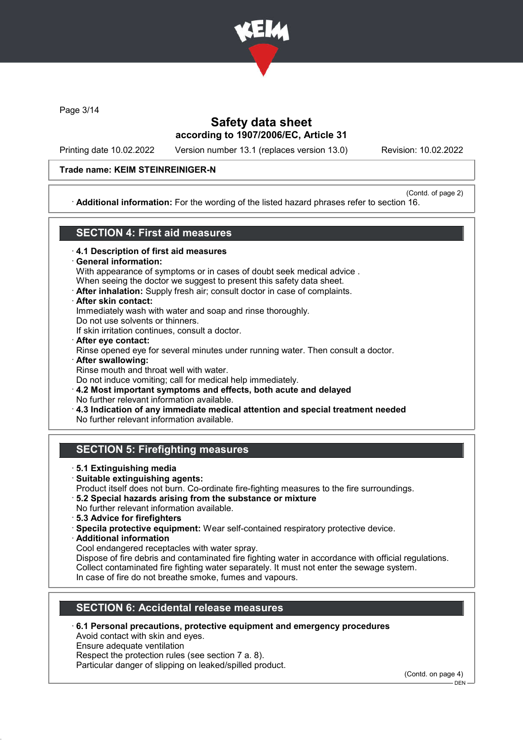

Page 3/14

### Safety data sheet according to 1907/2006/EC, Article 31

Printing date 10.02.2022 Version number 13.1 (replaces version 13.0) Revision: 10.02.2022

### Trade name: KEIM STEINREINIGER-N

(Contd. of page 2) · Additional information: For the wording of the listed hazard phrases refer to section 16.

### SECTION 4: First aid measures

- · 4.1 Description of first aid measures
- General information:

With appearance of symptoms or in cases of doubt seek medical advice .

- When seeing the doctor we suggest to present this safety data sheet.
- · After inhalation: Supply fresh air; consult doctor in case of complaints.
- · After skin contact:

Immediately wash with water and soap and rinse thoroughly.

Do not use solvents or thinners.

If skin irritation continues, consult a doctor.

- · After eye contact: Rinse opened eye for several minutes under running water. Then consult a doctor. · After swallowing:
- Rinse mouth and throat well with water. Do not induce vomiting; call for medical help immediately.

· 4.2 Most important symptoms and effects, both acute and delayed No further relevant information available.

· 4.3 Indication of any immediate medical attention and special treatment needed

No further relevant information available.

### SECTION 5: Firefighting measures

- · 5.1 Extinguishing media
- · Suitable extinguishing agents: Product itself does not burn. Co-ordinate fire-fighting measures to the fire surroundings.
- · 5.2 Special hazards arising from the substance or mixture
- No further relevant information available.
- · 5.3 Advice for firefighters
- · Specila protective equipment: Wear self-contained respiratory protective device.
- · Additional information
- Cool endangered receptacles with water spray.

Dispose of fire debris and contaminated fire fighting water in accordance with official regulations. Collect contaminated fire fighting water separately. It must not enter the sewage system. In case of fire do not breathe smoke, fumes and vapours.

### SECTION 6: Accidental release measures

· 6.1 Personal precautions, protective equipment and emergency procedures

Avoid contact with skin and eyes.

Ensure adequate ventilation

Respect the protection rules (see section 7 a. 8).

Particular danger of slipping on leaked/spilled product.

(Contd. on page 4)

DEN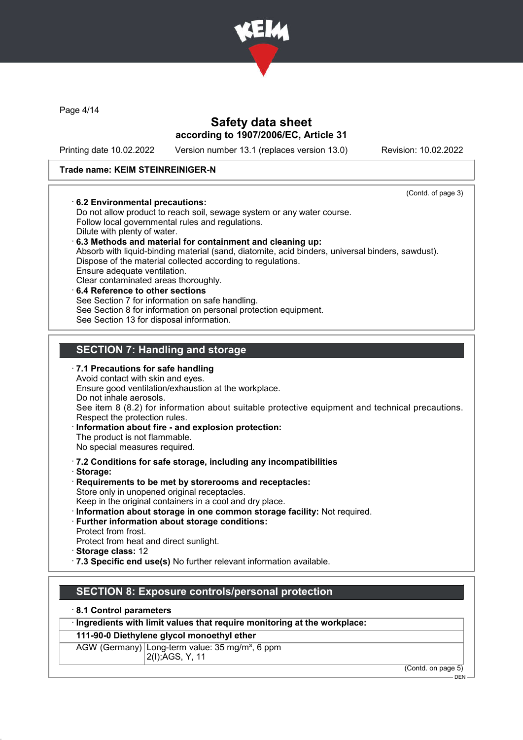

Page 4/14

### Safety data sheet according to 1907/2006/EC, Article 31

Printing date 10.02.2022 Version number 13.1 (replaces version 13.0) Revision: 10.02.2022

(Contd. of page 3)

#### Trade name: KEIM STEINREINIGER-N

#### · 6.2 Environmental precautions:

Do not allow product to reach soil, sewage system or any water course. Follow local governmental rules and regulations. Dilute with plenty of water. · 6.3 Methods and material for containment and cleaning up: Absorb with liquid-binding material (sand, diatomite, acid binders, universal binders, sawdust). Dispose of the material collected according to regulations. Ensure adequate ventilation. Clear contaminated areas thoroughly. 6.4 Reference to other sections See Section 7 for information on safe handling.

See Section 8 for information on personal protection equipment.

See Section 13 for disposal information.

### SECTION 7: Handling and storage

- $\cdot$  7.1 Precautions for safe handling Avoid contact with skin and eyes. Ensure good ventilation/exhaustion at the workplace. Do not inhale aerosols. See item 8 (8.2) for information about suitable protective equipment and technical precautions. Respect the protection rules.
- · Information about fire and explosion protection: The product is not flammable.

No special measures required.

· 7.2 Conditions for safe storage, including any incompatibilities

- · Storage:
- · Requirements to be met by storerooms and receptacles: Store only in unopened original receptacles.

Keep in the original containers in a cool and dry place.

- · Information about storage in one common storage facility: Not required.
- · Further information about storage conditions:
- Protect from frost.
- Protect from heat and direct sunlight.

· Storage class: 12

· 7.3 Specific end use(s) No further relevant information available.

### SECTION 8: Exposure controls/personal protection

· 8.1 Control parameters

· Ingredients with limit values that require monitoring at the workplace:

#### 111-90-0 Diethylene glycol monoethyl ether

AGW (Germany) Long-term value: 35 mg/m<sup>3</sup>, 6 ppm 2(I);AGS, Y, 11

(Contd. on page 5)

 $-$  DEN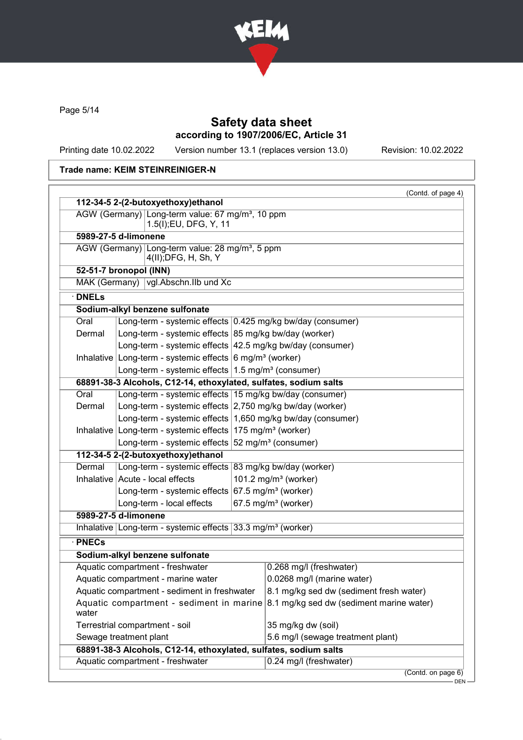

Page 5/14

## Safety data sheet according to 1907/2006/EC, Article 31

Printing date 10.02.2022 Version number 13.1 (replaces version 13.0) Revision: 10.02.2022

### Trade name: KEIM STEINREINIGER-N

|                                                                                           | 112-34-5 2-(2-butoxyethoxy)ethanol                                                                                                      |                                                            |                                          |
|-------------------------------------------------------------------------------------------|-----------------------------------------------------------------------------------------------------------------------------------------|------------------------------------------------------------|------------------------------------------|
|                                                                                           | AGW (Germany) Long-term value: 67 mg/m <sup>3</sup> , 10 ppm<br>1.5(I); EU, DFG, Y, 11                                                  |                                                            |                                          |
|                                                                                           | 5989-27-5 d-limonene                                                                                                                    |                                                            |                                          |
|                                                                                           | AGW (Germany) Long-term value: 28 mg/m <sup>3</sup> , 5 ppm<br>4(II); DFG, H, Sh, Y                                                     |                                                            |                                          |
|                                                                                           | 52-51-7 bronopol (INN)                                                                                                                  |                                                            |                                          |
|                                                                                           | MAK (Germany)   vgl. Abschn. IIb und Xc                                                                                                 |                                                            |                                          |
| $\cdot$ DNELs                                                                             |                                                                                                                                         |                                                            |                                          |
|                                                                                           | Sodium-alkyl benzene sulfonate                                                                                                          |                                                            |                                          |
| Oral                                                                                      | Long-term - systemic effects 0.425 mg/kg bw/day (consumer)                                                                              |                                                            |                                          |
| Dermal                                                                                    | Long-term - systemic effects 85 mg/kg bw/day (worker)                                                                                   |                                                            |                                          |
|                                                                                           | Long-term - systemic effects 42.5 mg/kg bw/day (consumer)                                                                               |                                                            |                                          |
|                                                                                           | Inhalative   Long-term - systemic effects   6 mg/m <sup>3</sup> (worker)                                                                |                                                            |                                          |
| Long-term - systemic effects   1.5 mg/m <sup>3</sup> (consumer)                           |                                                                                                                                         |                                                            |                                          |
|                                                                                           | 68891-38-3 Alcohols, C12-14, ethoxylated, sulfates, sodium salts                                                                        |                                                            |                                          |
| Oral                                                                                      | Long-term - systemic effects 15 mg/kg bw/day (consumer)                                                                                 |                                                            |                                          |
| Dermal                                                                                    |                                                                                                                                         | Long-term - systemic effects 2,750 mg/kg bw/day (worker)   |                                          |
|                                                                                           |                                                                                                                                         | Long-term - systemic effects 1,650 mg/kg bw/day (consumer) |                                          |
|                                                                                           | Inhalative Long-term - systemic effects $175$ mg/m <sup>3</sup> (worker)<br>Long-term - systemic effects $52 \text{ mg/m}^3$ (consumer) |                                                            |                                          |
|                                                                                           |                                                                                                                                         |                                                            |                                          |
|                                                                                           | 112-34-5 2-(2-butoxyethoxy)ethanol                                                                                                      |                                                            |                                          |
| Dermal                                                                                    | Long-term - systemic effects 83 mg/kg bw/day (worker)                                                                                   |                                                            |                                          |
|                                                                                           | Inhalative Acute - local effects                                                                                                        |                                                            | 101.2 mg/m $3$ (worker)                  |
| Long-term - systemic effects 67.5 mg/m <sup>3</sup> (worker)<br>Long-term - local effects |                                                                                                                                         |                                                            |                                          |
|                                                                                           |                                                                                                                                         |                                                            | 67.5 mg/m <sup>3</sup> (worker)          |
|                                                                                           | 5989-27-5 d-limonene                                                                                                                    |                                                            |                                          |
|                                                                                           | Inhalative Long-term - systemic effects $33.3 \text{ mg/m}^3$ (worker)                                                                  |                                                            |                                          |
| $\cdot$ PNECs                                                                             |                                                                                                                                         |                                                            |                                          |
|                                                                                           | Sodium-alkyl benzene sulfonate                                                                                                          |                                                            |                                          |
|                                                                                           | Aquatic compartment - freshwater                                                                                                        |                                                            | 0.268 mg/l (freshwater)                  |
|                                                                                           | Aquatic compartment - marine water                                                                                                      |                                                            | 0.0268 mg/l (marine water)               |
|                                                                                           | Aquatic compartment - sediment in freshwater                                                                                            |                                                            | 8.1 mg/kg sed dw (sediment fresh water)  |
| Aquatic compartment - sediment in marine<br>water                                         |                                                                                                                                         |                                                            | 8.1 mg/kg sed dw (sediment marine water) |
|                                                                                           | Terrestrial compartment - soil                                                                                                          |                                                            | 35 mg/kg dw (soil)                       |
|                                                                                           | Sewage treatment plant                                                                                                                  |                                                            | 5.6 mg/l (sewage treatment plant)        |
|                                                                                           | 68891-38-3 Alcohols, C12-14, ethoxylated, sulfates, sodium salts                                                                        |                                                            |                                          |
|                                                                                           | Aquatic compartment - freshwater                                                                                                        |                                                            | 0.24 mg/l (freshwater)                   |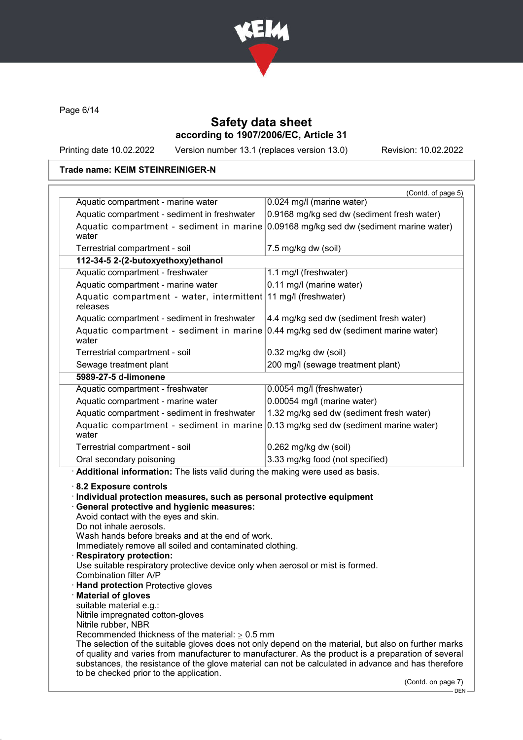

Page 6/14

### Safety data sheet according to 1907/2006/EC, Article 31

Printing date 10.02.2022 Version number 13.1 (replaces version 13.0) Revision: 10.02.2022

### Trade name: KEIM STEINREINIGER-N

|                                                                                                                                                                                                                                                                                                                                                                                                                                                          | (Contd. of page 5)<br>0.024 mg/l (marine water)                                                                                                                                                                                                                                                                    |
|----------------------------------------------------------------------------------------------------------------------------------------------------------------------------------------------------------------------------------------------------------------------------------------------------------------------------------------------------------------------------------------------------------------------------------------------------------|--------------------------------------------------------------------------------------------------------------------------------------------------------------------------------------------------------------------------------------------------------------------------------------------------------------------|
| Aquatic compartment - marine water<br>Aquatic compartment - sediment in freshwater                                                                                                                                                                                                                                                                                                                                                                       | 0.9168 mg/kg sed dw (sediment fresh water)                                                                                                                                                                                                                                                                         |
| Aquatic compartment - sediment in marine 0.09168 mg/kg sed dw (sediment marine water)                                                                                                                                                                                                                                                                                                                                                                    |                                                                                                                                                                                                                                                                                                                    |
| water                                                                                                                                                                                                                                                                                                                                                                                                                                                    |                                                                                                                                                                                                                                                                                                                    |
| Terrestrial compartment - soil                                                                                                                                                                                                                                                                                                                                                                                                                           | 7.5 mg/kg dw (soil)                                                                                                                                                                                                                                                                                                |
| 112-34-5 2-(2-butoxyethoxy)ethanol                                                                                                                                                                                                                                                                                                                                                                                                                       |                                                                                                                                                                                                                                                                                                                    |
| Aquatic compartment - freshwater                                                                                                                                                                                                                                                                                                                                                                                                                         | 1.1 mg/l (freshwater)                                                                                                                                                                                                                                                                                              |
| Aquatic compartment - marine water                                                                                                                                                                                                                                                                                                                                                                                                                       | 0.11 mg/l (marine water)                                                                                                                                                                                                                                                                                           |
| Aquatic compartment - water, intermittent 11 mg/l (freshwater)<br>releases                                                                                                                                                                                                                                                                                                                                                                               |                                                                                                                                                                                                                                                                                                                    |
| Aquatic compartment - sediment in freshwater                                                                                                                                                                                                                                                                                                                                                                                                             | 4.4 mg/kg sed dw (sediment fresh water)                                                                                                                                                                                                                                                                            |
| Aquatic compartment - sediment in marine<br>water                                                                                                                                                                                                                                                                                                                                                                                                        | 0.44 mg/kg sed dw (sediment marine water)                                                                                                                                                                                                                                                                          |
| Terrestrial compartment - soil                                                                                                                                                                                                                                                                                                                                                                                                                           | 0.32 mg/kg dw (soil)                                                                                                                                                                                                                                                                                               |
| Sewage treatment plant                                                                                                                                                                                                                                                                                                                                                                                                                                   | 200 mg/l (sewage treatment plant)                                                                                                                                                                                                                                                                                  |
| 5989-27-5 d-limonene                                                                                                                                                                                                                                                                                                                                                                                                                                     |                                                                                                                                                                                                                                                                                                                    |
| Aquatic compartment - freshwater                                                                                                                                                                                                                                                                                                                                                                                                                         | 0.0054 mg/l (freshwater)                                                                                                                                                                                                                                                                                           |
| Aquatic compartment - marine water                                                                                                                                                                                                                                                                                                                                                                                                                       | 0.00054 mg/l (marine water)                                                                                                                                                                                                                                                                                        |
| Aquatic compartment - sediment in freshwater                                                                                                                                                                                                                                                                                                                                                                                                             | 1.32 mg/kg sed dw (sediment fresh water)                                                                                                                                                                                                                                                                           |
| Aquatic compartment - sediment in marine<br>water                                                                                                                                                                                                                                                                                                                                                                                                        | 0.13 mg/kg sed dw (sediment marine water)                                                                                                                                                                                                                                                                          |
| Terrestrial compartment - soil                                                                                                                                                                                                                                                                                                                                                                                                                           | 0.262 mg/kg dw (soil)                                                                                                                                                                                                                                                                                              |
|                                                                                                                                                                                                                                                                                                                                                                                                                                                          |                                                                                                                                                                                                                                                                                                                    |
| Oral secondary poisoning                                                                                                                                                                                                                                                                                                                                                                                                                                 | 3.33 mg/kg food (not specified)                                                                                                                                                                                                                                                                                    |
|                                                                                                                                                                                                                                                                                                                                                                                                                                                          |                                                                                                                                                                                                                                                                                                                    |
| · Additional information: The lists valid during the making were used as basis.<br>8.2 Exposure controls<br>· Individual protection measures, such as personal protective equipment<br>· General protective and hygienic measures:<br>Avoid contact with the eyes and skin.<br>Do not inhale aerosols.<br>Wash hands before breaks and at the end of work.<br>Immediately remove all soiled and contaminated clothing.<br><b>Respiratory protection:</b> |                                                                                                                                                                                                                                                                                                                    |
| Use suitable respiratory protective device only when aerosol or mist is formed.<br>Combination filter A/P<br><b>Hand protection Protective gloves</b>                                                                                                                                                                                                                                                                                                    |                                                                                                                                                                                                                                                                                                                    |
| <b>Material of gloves</b><br>suitable material e.g.:                                                                                                                                                                                                                                                                                                                                                                                                     |                                                                                                                                                                                                                                                                                                                    |
| Nitrile impregnated cotton-gloves                                                                                                                                                                                                                                                                                                                                                                                                                        |                                                                                                                                                                                                                                                                                                                    |
| Nitrile rubber, NBR                                                                                                                                                                                                                                                                                                                                                                                                                                      |                                                                                                                                                                                                                                                                                                                    |
| Recommended thickness of the material: $\geq 0.5$ mm<br>to be checked prior to the application.                                                                                                                                                                                                                                                                                                                                                          | The selection of the suitable gloves does not only depend on the material, but also on further marks<br>of quality and varies from manufacturer to manufacturer. As the product is a preparation of several<br>substances, the resistance of the glove material can not be calculated in advance and has therefore |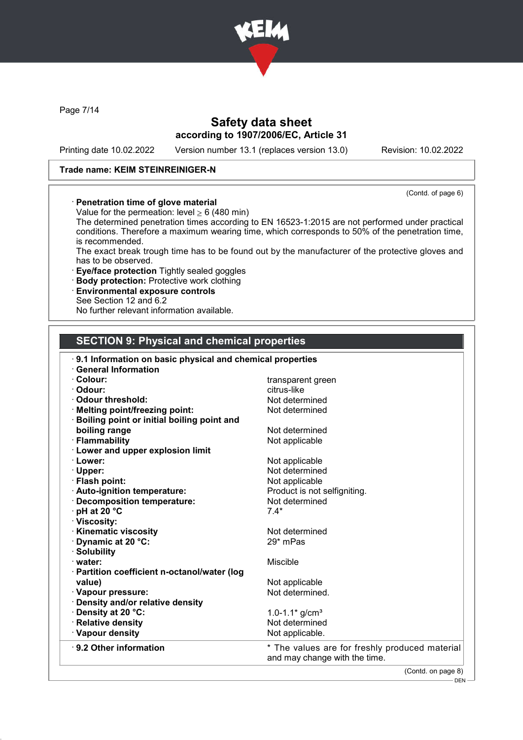

Page 7/14

### Safety data sheet according to 1907/2006/EC, Article 31

Printing date 10.02.2022 Version number 13.1 (replaces version 13.0) Revision: 10.02.2022

#### Trade name: KEIM STEINREINIGER-N

(Contd. of page 6)

· Penetration time of glove material

Value for the permeation: level  $\geq 6$  (480 min)

The determined penetration times according to EN 16523-1:2015 are not performed under practical conditions. Therefore a maximum wearing time, which corresponds to 50% of the penetration time, is recommended.

The exact break trough time has to be found out by the manufacturer of the protective gloves and has to be observed.

- · Eye/face protection Tightly sealed goggles
- · Body protection: Protective work clothing
- · Environmental exposure controls
- See Section 12 and 6.2

No further relevant information available.

# SECTION 9: Physical and chemical properties

| 9.1 Information on basic physical and chemical properties |                                                                                 |
|-----------------------------------------------------------|---------------------------------------------------------------------------------|
| <b>General Information</b>                                |                                                                                 |
| · Colour:                                                 | transparent green                                                               |
| · Odour:                                                  | citrus-like                                                                     |
| Odour threshold:                                          | Not determined                                                                  |
| · Melting point/freezing point:                           | Not determined                                                                  |
| <b>Boiling point or initial boiling point and</b>         |                                                                                 |
| boiling range                                             | Not determined                                                                  |
| · Flammability                                            | Not applicable                                                                  |
| <b>Lower and upper explosion limit</b>                    |                                                                                 |
| · Lower:                                                  | Not applicable                                                                  |
| · Upper:                                                  | Not determined                                                                  |
| · Flash point:                                            | Not applicable                                                                  |
| · Auto-ignition temperature:                              | Product is not selfigniting.                                                    |
| · Decomposition temperature:                              | Not determined                                                                  |
| $\cdot$ pH at 20 $\degree$ C                              | $7.4*$                                                                          |
| · Viscosity:                                              |                                                                                 |
| <b>Kinematic viscosity</b>                                | Not determined                                                                  |
| Dynamic at 20 °C:                                         | 29* mPas                                                                        |
| · Solubility                                              |                                                                                 |
| · water:                                                  | <b>Miscible</b>                                                                 |
| · Partition coefficient n-octanol/water (log              |                                                                                 |
| value)                                                    | Not applicable                                                                  |
| · Vapour pressure:                                        | Not determined.                                                                 |
| · Density and/or relative density                         |                                                                                 |
| · Density at 20 °C:                                       | 1.0-1.1 $*$ g/cm <sup>3</sup>                                                   |
| · Relative density                                        | Not determined                                                                  |
| · Vapour density                                          | Not applicable.                                                                 |
| ⋅ 9.2 Other information                                   | * The values are for freshly produced material<br>and may change with the time. |

(Contd. on page 8)

 $-$  DEN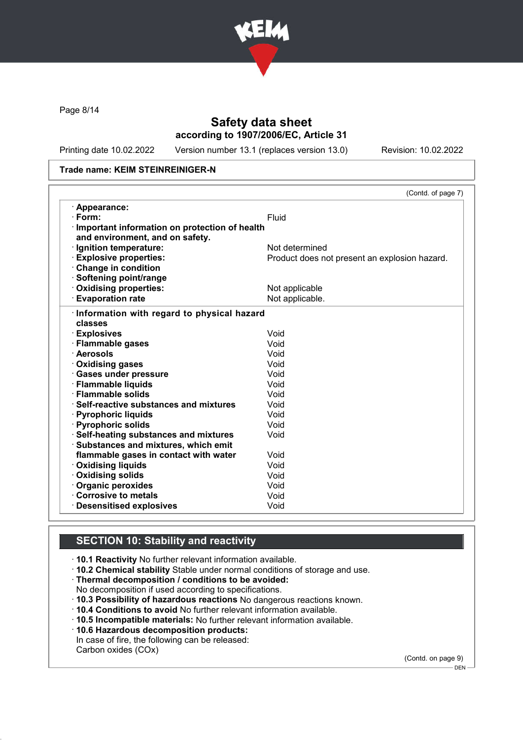

Page 8/14

### Safety data sheet according to 1907/2006/EC, Article 31

Printing date 10.02.2022 Version number 13.1 (replaces version 13.0) Revision: 10.02.2022

#### Trade name: KEIM STEINREINIGER-N

|                                               | (Contd. of page 7)                            |
|-----------------------------------------------|-----------------------------------------------|
| · Appearance:                                 |                                               |
| $\cdot$ Form:                                 | <b>Fluid</b>                                  |
| Important information on protection of health |                                               |
| and environment, and on safety.               |                                               |
| · Ignition temperature:                       | Not determined                                |
| <b>Explosive properties:</b>                  | Product does not present an explosion hazard. |
| Change in condition                           |                                               |
| · Softening point/range                       |                                               |
| Oxidising properties:                         | Not applicable                                |
| <b>Evaporation rate</b>                       | Not applicable.                               |
| Information with regard to physical hazard    |                                               |
| classes                                       |                                               |
| · Explosives                                  | Void                                          |
| · Flammable gases                             | Void                                          |
| · Aerosols                                    | Void                                          |
| Oxidising gases                               | Void                                          |
| · Gases under pressure                        | Void                                          |
| · Flammable liquids                           | Void                                          |
| · Flammable solids                            | Void                                          |
| $\cdot$ Self-reactive substances and mixtures | Void                                          |
| · Pyrophoric liquids                          | Void                                          |
| · Pyrophoric solids                           | Void                                          |
| · Self-heating substances and mixtures        | Void                                          |
| · Substances and mixtures, which emit         |                                               |
| flammable gases in contact with water         | Void                                          |
| <b>Oxidising liquids</b>                      | Void                                          |
| <b>Oxidising solids</b>                       | Void                                          |
| Organic peroxides                             | Void                                          |
| Corrosive to metals                           | Void                                          |
| <b>Desensitised explosives</b>                | Void                                          |

### SECTION 10: Stability and reactivity

· 10.1 Reactivity No further relevant information available.

· 10.2 Chemical stability Stable under normal conditions of storage and use.

- · Thermal decomposition / conditions to be avoided:
- No decomposition if used according to specifications.
- · 10.3 Possibility of hazardous reactions No dangerous reactions known.
- · 10.4 Conditions to avoid No further relevant information available.
- · 10.5 Incompatible materials: No further relevant information available.
- · 10.6 Hazardous decomposition products:
- In case of fire, the following can be released: Carbon oxides (COx)

(Contd. on page 9)

<sup>–&</sup>lt;br>— DEN -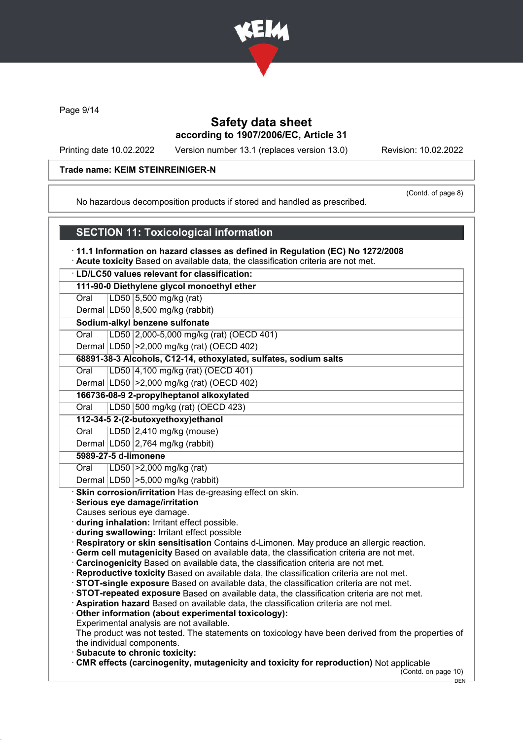

Page 9/14

### Safety data sheet according to 1907/2006/EC, Article 31

Printing date 10.02.2022 Version number 13.1 (replaces version 13.0) Revision: 10.02.2022

#### Trade name: KEIM STEINREINIGER-N

(Contd. of page 8)

No hazardous decomposition products if stored and handled as prescribed.

### SECTION 11: Toxicological information

· 11.1 Information on hazard classes as defined in Regulation (EC) No 1272/2008

· Acute toxicity Based on available data, the classification criteria are not met.

· LD/LC50 values relevant for classification:

#### 111-90-0 Diethylene glycol monoethyl ether

Oral LD50 5,500 mg/kg (rat)

Dermal  $LD50/8,500$  mg/kg (rabbit)

Sodium-alkyl benzene sulfonate

Oral LD50 2,000-5,000 mg/kg (rat) (OECD 401)

Dermal LD50 >2,000 mg/kg (rat) (OECD 402)

### 68891-38-3 Alcohols, C12-14, ethoxylated, sulfates, sodium salts

Oral LD50 4,100 mg/kg (rat) (OECD 401)

Dermal LD50 >2,000 mg/kg (rat) (OECD 402)

# 166736-08-9 2-propylheptanol alkoxylated

Oral LD50 500 mg/kg (rat) (OECD 423)

# 112-34-5 2-(2-butoxyethoxy)ethanol

Oral LD50 2,410 mg/kg (mouse)

# Dermal  $LD50/2,764$  mg/kg (rabbit)

# 5989-27-5 d-limonene

Oral LD50 >2,000 mg/kg (rat)

Dermal  $|LD50| > 5,000$  mg/kg (rabbit)

Skin corrosion/irritation Has de-greasing effect on skin.

#### Serious eye damage/irritation

Causes serious eye damage.

· during inhalation: Irritant effect possible.

· during swallowing: Irritant effect possible

· Respiratory or skin sensitisation Contains d-Limonen. May produce an allergic reaction.

· Germ cell mutagenicity Based on available data, the classification criteria are not met.

· Carcinogenicity Based on available data, the classification criteria are not met.

· Reproductive toxicity Based on available data, the classification criteria are not met.

· STOT-single exposure Based on available data, the classification criteria are not met.

· STOT-repeated exposure Based on available data, the classification criteria are not met.

· Aspiration hazard Based on available data, the classification criteria are not met.

· Other information (about experimental toxicology):

Experimental analysis are not available.

The product was not tested. The statements on toxicology have been derived from the properties of the individual components.

· Subacute to chronic toxicity:

· CMR effects (carcinogenity, mutagenicity and toxicity for reproduction) Not applicable

(Contd. on page 10)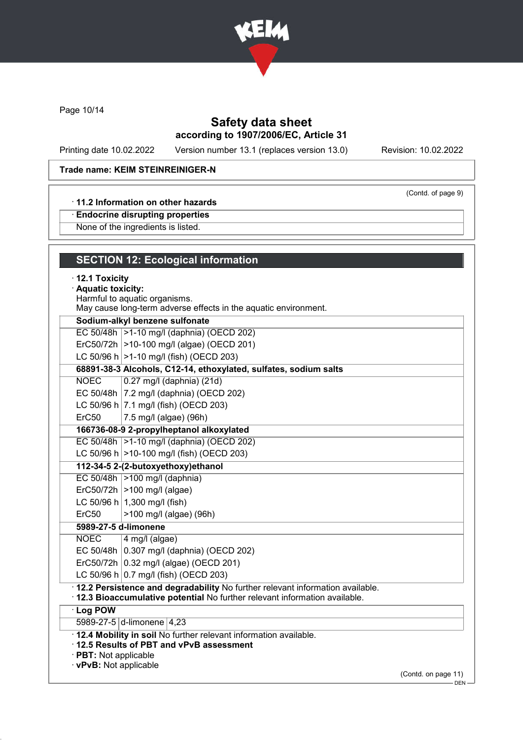

Page 10/14

## Safety data sheet according to 1907/2006/EC, Article 31

Printing date 10.02.2022 Version number 13.1 (replaces version 13.0) Revision: 10.02.2022

(Contd. of page 9)

#### Trade name: KEIM STEINREINIGER-N

#### · 11.2 Information on other hazards

· Endocrine disrupting properties

None of the ingredients is listed.

| <b>SECTION 12: Ecological information</b>                                       |  |
|---------------------------------------------------------------------------------|--|
| $\cdot$ 12.1 Toxicity                                                           |  |
| · Aquatic toxicity:                                                             |  |
| Harmful to aquatic organisms.                                                   |  |
| May cause long-term adverse effects in the aquatic environment.                 |  |
| Sodium-alkyl benzene sulfonate                                                  |  |
| EC 50/48h  >1-10 mg/l (daphnia) (OECD 202)                                      |  |
| ErC50/72h   > 10-100 mg/l (algae) (OECD 201)                                    |  |
| LC 50/96 h $ >1-10$ mg/l (fish) (OECD 203)                                      |  |
| 68891-38-3 Alcohols, C12-14, ethoxylated, sulfates, sodium salts                |  |
| <b>NOEC</b><br>0.27 mg/l (daphnia) (21d)                                        |  |
| EC 50/48h   7.2 mg/l (daphnia) (OECD 202)                                       |  |
| LC 50/96 h $ 7.1 \text{ mg/l}$ (fish) (OECD 203)                                |  |
| ErC <sub>50</sub><br>7.5 mg/l (algae) (96h)                                     |  |
| 166736-08-9 2-propylheptanol alkoxylated                                        |  |
| EC 50/48h  >1-10 mg/l (daphnia) (OECD 202)                                      |  |
| LC 50/96 h $ >$ 10-100 mg/l (fish) (OECD 203)                                   |  |
| 112-34-5 2-(2-butoxyethoxy)ethanol                                              |  |
| EC 50/48h   > 100 mg/l (daphnia)                                                |  |
| $Erc50/72h$ >100 mg/l (algae)                                                   |  |
| LC 50/96 h $ 1,300$ mg/l (fish)                                                 |  |
| ErC50<br>>100 mg/l (algae) (96h)                                                |  |
| 5989-27-5 d-limonene                                                            |  |
| <b>NOEC</b><br>4 mg/l (algae)                                                   |  |
| EC 50/48h 0.307 mg/l (daphnia) (OECD 202)                                       |  |
| ErC50/72h $ 0.32 \text{ mg/l}$ (algae) (OECD 201)                               |  |
| LC 50/96 h $(0.7 \text{ mg/l} \text{ (fish)} \text{ (OECD 203)}$                |  |
| · 12.2 Persistence and degradability No further relevant information available. |  |
| · 12.3 Bioaccumulative potential No further relevant information available.     |  |
| <b>Log POW</b>                                                                  |  |
| 5989-27-5 d-limonene 4,23                                                       |  |
| 12.4 Mobility in soil No further relevant information available.                |  |

· 12.5 Results of PBT and vPvB assessment

· PBT: Not applicable

· vPvB: Not applicable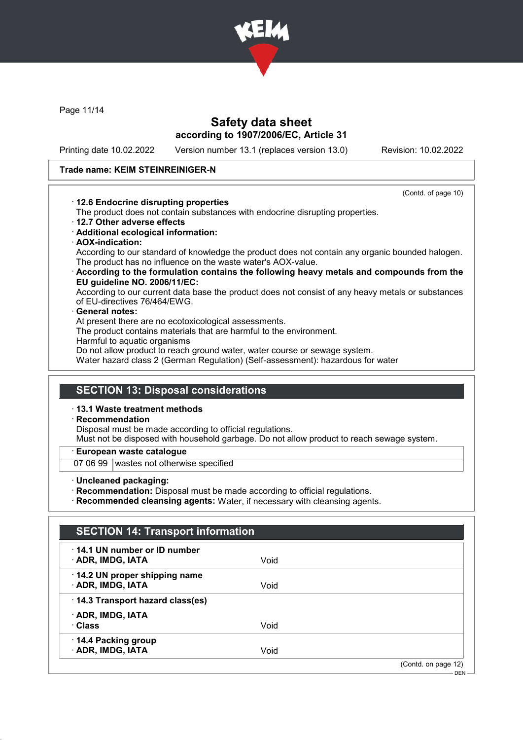

Page 11/14

### Safety data sheet according to 1907/2006/EC, Article 31

Printing date 10.02.2022 Version number 13.1 (replaces version 13.0) Revision: 10.02.2022

#### Trade name: KEIM STEINREINIGER-N

(Contd. of page 10)

- · 12.6 Endocrine disrupting properties
- The product does not contain substances with endocrine disrupting properties.
- · 12.7 Other adverse effects
- · Additional ecological information:
- · AOX-indication:

According to our standard of knowledge the product does not contain any organic bounded halogen. The product has no influence on the waste water's AOX-value.

· According to the formulation contains the following heavy metals and compounds from the EU guideline NO. 2006/11/EC:

According to our current data base the product does not consist of any heavy metals or substances of EU-directives 76/464/EWG.

#### General notes:

At present there are no ecotoxicological assessments.

The product contains materials that are harmful to the environment.

Harmful to aquatic organisms

Do not allow product to reach ground water, water course or sewage system.

Water hazard class 2 (German Regulation) (Self-assessment): hazardous for water

### SECTION 13: Disposal considerations

· 13.1 Waste treatment methods

#### **Recommendation**

Disposal must be made according to official regulations.

Must not be disposed with household garbage. Do not allow product to reach sewage system.

#### European waste catalogue

07 06 99 wastes not otherwise specified

· Uncleaned packaging:

· Recommendation: Disposal must be made according to official regulations.

· Recommended cleansing agents: Water, if necessary with cleansing agents.

| 14.1 UN number or ID number     |      |  |
|---------------------------------|------|--|
| · ADR, IMDG, IATA               | Void |  |
| 14.2 UN proper shipping name    |      |  |
| · ADR, IMDG, IATA               | Void |  |
| 14.3 Transport hazard class(es) |      |  |
| · ADR, IMDG, IATA               |      |  |
| · Class                         | Void |  |
| 14.4 Packing group              |      |  |
| · ADR, IMDG, IATA               | Void |  |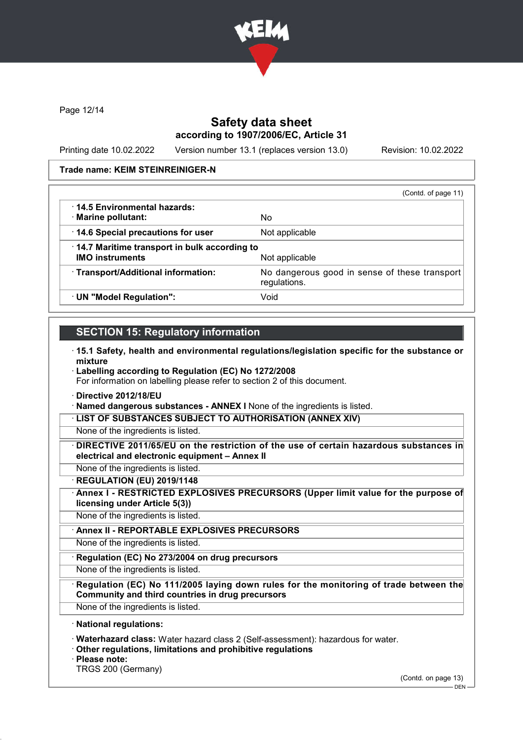

Page 12/14

### Safety data sheet according to 1907/2006/EC, Article 31

Printing date 10.02.2022 Version number 13.1 (replaces version 13.0) Revision: 10.02.2022

#### Trade name: KEIM STEINREINIGER-N

|                                                                        | (Contd. of page 11)                                           |
|------------------------------------------------------------------------|---------------------------------------------------------------|
| 14.5 Environmental hazards:<br>· Marine pollutant:                     | No                                                            |
| 14.6 Special precautions for user                                      | Not applicable                                                |
| 14.7 Maritime transport in bulk according to<br><b>IMO instruments</b> | Not applicable                                                |
| · Transport/Additional information:                                    | No dangerous good in sense of these transport<br>regulations. |
| · UN "Model Regulation":                                               | Void                                                          |

### SECTION 15: Regulatory information

- · 15.1 Safety, health and environmental regulations/legislation specific for the substance or mixture
- · Labelling according to Regulation (EC) No 1272/2008 For information on labelling please refer to section 2 of this document.
- · Directive 2012/18/EU

· Named dangerous substances - ANNEX I None of the ingredients is listed.

· LIST OF SUBSTANCES SUBJECT TO AUTHORISATION (ANNEX XIV)

None of the ingredients is listed.

· DIRECTIVE 2011/65/EU on the restriction of the use of certain hazardous substances in electrical and electronic equipment – Annex II

None of the ingredients is listed.

· REGULATION (EU) 2019/1148

· Annex I - RESTRICTED EXPLOSIVES PRECURSORS (Upper limit value for the purpose of licensing under Article 5(3))

None of the ingredients is listed.

Annex II - REPORTABLE EXPLOSIVES PRECURSORS

None of the ingredients is listed.

Regulation (EC) No 273/2004 on drug precursors

None of the ingredients is listed.

Regulation (EC) No 111/2005 laying down rules for the monitoring of trade between the Community and third countries in drug precursors

None of the ingredients is listed.

#### · National regulations:

· Waterhazard class: Water hazard class 2 (Self-assessment): hazardous for water.

· Other regulations, limitations and prohibitive regulations

· Please note:

TRGS 200 (Germany)

(Contd. on page 13)

 $-$  DFN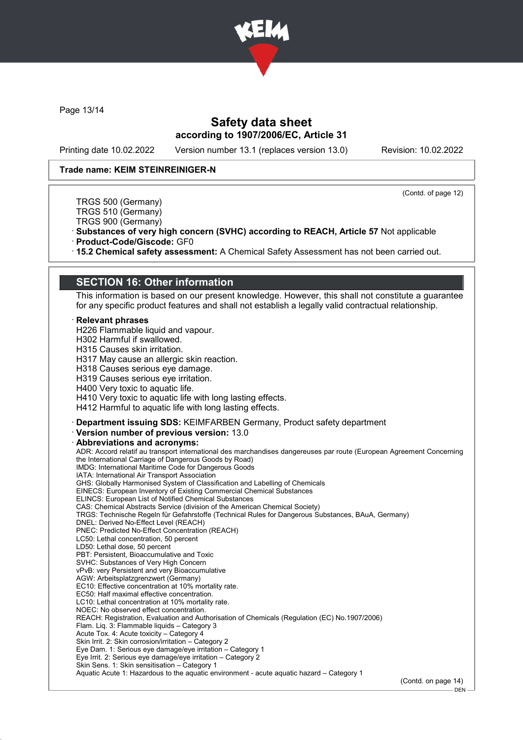

Page 13/14

### Safety data sheet according to 1907/2006/EC, Article 31

Printing date 10.02.2022 Version number 13.1 (replaces version 13.0) Revision: 10.02.2022

(Contd. of page 12)

#### Trade name: KEIM STEINREINIGER-N

TRGS 500 (Germany) TRGS 510 (Germany)

TRGS 900 (Germany)

· Substances of very high concern (SVHC) according to REACH, Article 57 Not applicable

· Product-Code/Giscode: GF0

· 15.2 Chemical safety assessment: A Chemical Safety Assessment has not been carried out.

### SECTION 16: Other information

This information is based on our present knowledge. However, this shall not constitute a guarantee for any specific product features and shall not establish a legally valid contractual relationship.

#### **Relevant phrases**

H226 Flammable liquid and vapour.

H302 Harmful if swallowed.

H315 Causes skin irritation.

H317 May cause an allergic skin reaction.

H318 Causes serious eye damage.

H319 Causes serious eye irritation.

H400 Very toxic to aquatic life.

H410 Very toxic to aquatic life with long lasting effects.

H412 Harmful to aquatic life with long lasting effects.

· Department issuing SDS: KEIMFARBEN Germany, Product safety department

· Version number of previous version: 13.0

#### Abbreviations and acronyms:

ADR: Accord relatif au transport international des marchandises dangereuses par route (European Agreement Concerning the International Carriage of Dangerous Goods by Road) IMDG: International Maritime Code for Dangerous Goods IATA: International Air Transport Association GHS: Globally Harmonised System of Classification and Labelling of Chemicals EINECS: European Inventory of Existing Commercial Chemical Substances ELINCS: European List of Notified Chemical Substances CAS: Chemical Abstracts Service (division of the American Chemical Society) TRGS: Technische Regeln für Gefahrstoffe (Technical Rules for Dangerous Substances, BAuA, Germany) DNEL: Derived No-Effect Level (REACH) PNEC: Predicted No-Effect Concentration (REACH) LC50: Lethal concentration, 50 percent LD50: Lethal dose, 50 percent PBT: Persistent, Bioaccumulative and Toxic SVHC: Substances of Very High Concern vPvB: very Persistent and very Bioaccumulative AGW: Arbeitsplatzgrenzwert (Germany) EC10: Effective concentration at 10% mortality rate. EC50: Half maximal effective concentration. LC10: Lethal concentration at 10% mortality rate. NOEC: No observed effect concentration. REACH: Registration, Evaluation and Authorisation of Chemicals (Regulation (EC) No.1907/2006) Flam. Liq. 3: Flammable liquids – Category 3 Acute Tox. 4: Acute toxicity – Category 4 Skin Irrit. 2: Skin corrosion/irritation – Category 2 Eye Dam. 1: Serious eye damage/eye irritation – Category 1 Eye Irrit. 2: Serious eye damage/eye irritation – Category 2 Skin Sens. 1: Skin sensitisation – Category 1 Aquatic Acute 1: Hazardous to the aquatic environment - acute aquatic hazard – Category 1

(Contd. on page 14)